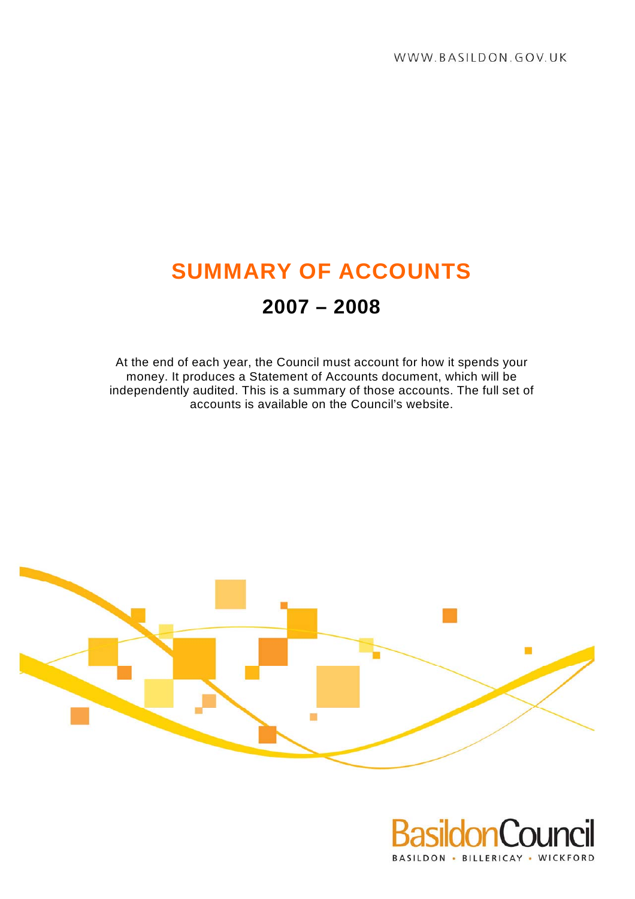# **SUMMARY OF ACCOUNTS**

# **2007 – 2008**

At the end of each year, the Council must account for how it spends your money. It produces a Statement of Accounts document, which will be independently audited. This is a summary of those accounts. The full set of accounts is available on the Council's website.



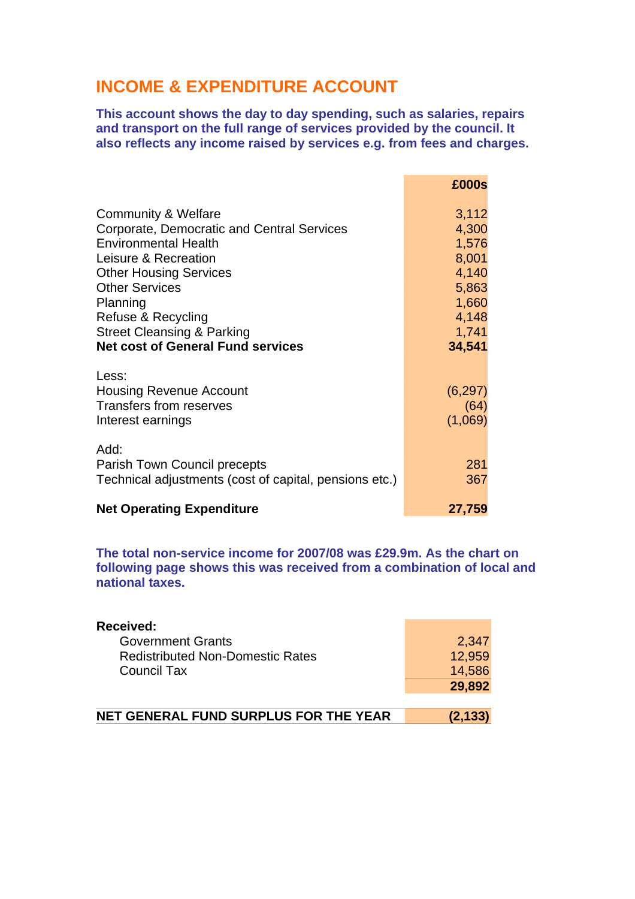# **INCOME & EXPENDITURE ACCOUNT**

**This account shows the day to day spending, such as salaries, repairs and transport on the full range of services provided by the council. It also reflects any income raised by services e.g. from fees and charges.** 

|                                                        | £000s          |
|--------------------------------------------------------|----------------|
| Community & Welfare                                    | 3,112          |
| Corporate, Democratic and Central Services             | 4,300          |
| <b>Environmental Health</b>                            | 1,576          |
| Leisure & Recreation                                   | 8,001<br>4,140 |
| <b>Other Housing Services</b><br><b>Other Services</b> | 5,863          |
| Planning                                               | 1,660          |
| Refuse & Recycling                                     | 4,148          |
| <b>Street Cleansing &amp; Parking</b>                  | 1,741          |
| <b>Net cost of General Fund services</b>               | 34,541         |
| Less:                                                  |                |
| <b>Housing Revenue Account</b>                         | (6, 297)       |
| <b>Transfers from reserves</b>                         | (64)           |
| Interest earnings                                      | (1,069)        |
| Add:                                                   |                |
| Parish Town Council precepts                           | 281            |
| Technical adjustments (cost of capital, pensions etc.) | 367            |
|                                                        |                |
| <b>Net Operating Expenditure</b>                       | 27,759         |

**The total non-service income for 2007/08 was £29.9m. As the chart on following page shows this was received from a combination of local and national taxes.** 

| Received:                               |        |
|-----------------------------------------|--------|
| <b>Government Grants</b>                | 2,347  |
| <b>Redistributed Non-Domestic Rates</b> | 12.959 |
| <b>Council Tax</b>                      | 14,586 |
|                                         | 29,892 |

| NET GENERAL FUND SURPLUS FOR THE YEAR<br>(2, 133) |  |
|---------------------------------------------------|--|
|---------------------------------------------------|--|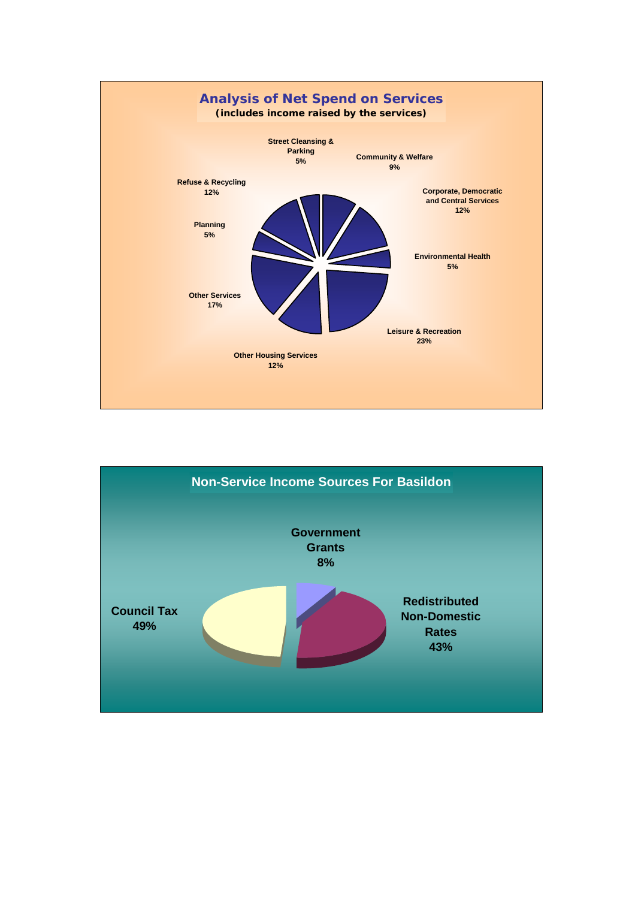

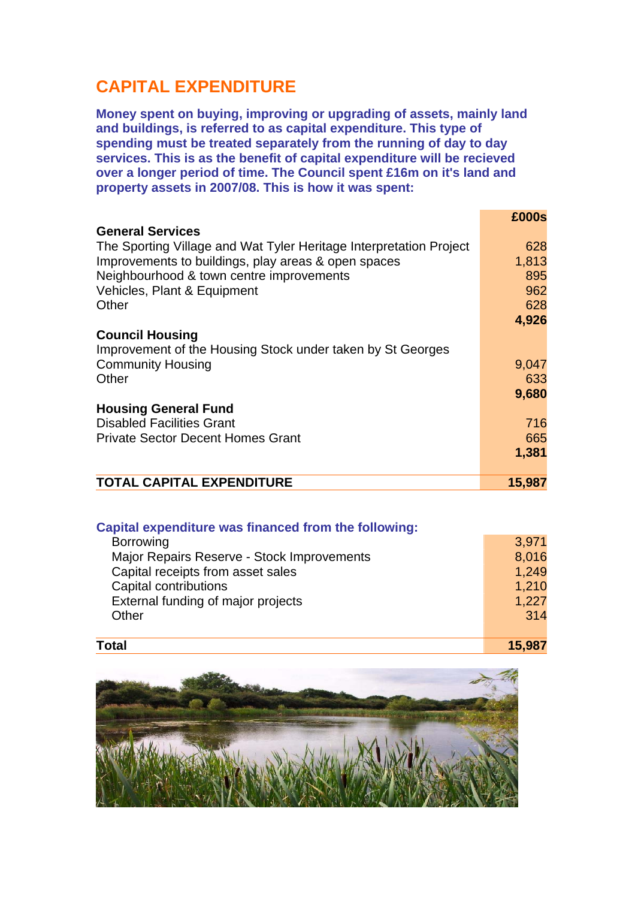# **CAPITAL EXPENDITURE**

**Money spent on buying, improving or upgrading of assets, mainly land and buildings, is referred to as capital expenditure. This type of spending must be treated separately from the running of day to day services. This is as the benefit of capital expenditure will be recieved over a longer period of time. The Council spent £16m on it's land and property assets in 2007/08. This is how it was spent:** 

|                                                                    | £000s  |
|--------------------------------------------------------------------|--------|
| <b>General Services</b>                                            |        |
| The Sporting Village and Wat Tyler Heritage Interpretation Project | 628    |
| Improvements to buildings, play areas & open spaces                | 1,813  |
| Neighbourhood & town centre improvements                           | 895    |
| Vehicles, Plant & Equipment                                        | 962    |
| Other                                                              | 628    |
|                                                                    | 4,926  |
| <b>Council Housing</b>                                             |        |
| Improvement of the Housing Stock under taken by St Georges         |        |
| <b>Community Housing</b>                                           | 9,047  |
| Other                                                              | 633    |
|                                                                    | 9,680  |
| <b>Housing General Fund</b>                                        |        |
| <b>Disabled Facilities Grant</b>                                   | 716    |
| <b>Private Sector Decent Homes Grant</b>                           | 665    |
|                                                                    | 1,381  |
| <b>TOTAL CAPITAL EXPENDITURE</b>                                   | 15,987 |

#### **Capital expenditure was financed from the following:**

| <b>Borrowing</b>                           | 3.971 |
|--------------------------------------------|-------|
| Major Repairs Reserve - Stock Improvements | 8,016 |
| Capital receipts from asset sales          | 1,249 |
| Capital contributions                      | 1,210 |
| External funding of major projects         | 1,227 |
| Other                                      | 314   |
|                                            |       |

#### **Total 15,987**

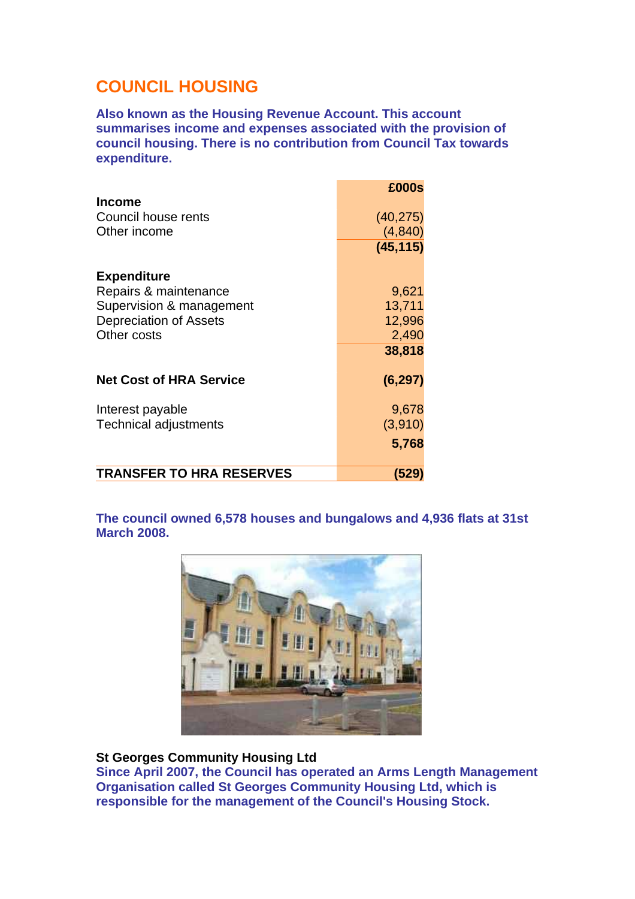# **COUNCIL HOUSING**

**Also known as the Housing Revenue Account. This account summarises income and expenses associated with the provision of council housing. There is no contribution from Council Tax towards expenditure.** 

|                                 | £000s     |
|---------------------------------|-----------|
| <b>Income</b>                   |           |
| Council house rents             | (40, 275) |
| Other income                    | (4, 840)  |
|                                 | (45, 115) |
|                                 |           |
| <b>Expenditure</b>              |           |
| Repairs & maintenance           | 9,621     |
| Supervision & management        | 13,711    |
| <b>Depreciation of Assets</b>   | 12,996    |
| Other costs                     | 2,490     |
|                                 | 38,818    |
|                                 |           |
| <b>Net Cost of HRA Service</b>  | (6, 297)  |
| Interest payable                | 9,678     |
| <b>Technical adjustments</b>    | (3,910)   |
|                                 |           |
|                                 | 5,768     |
| <b>TRANSFER TO HRA RESERVES</b> | (529)     |

**The council owned 6,578 houses and bungalows and 4,936 flats at 31st March 2008.** 



#### **St Georges Community Housing Ltd**

**Since April 2007, the Council has operated an Arms Length Management Organisation called St Georges Community Housing Ltd, which is responsible for the management of the Council's Housing Stock.**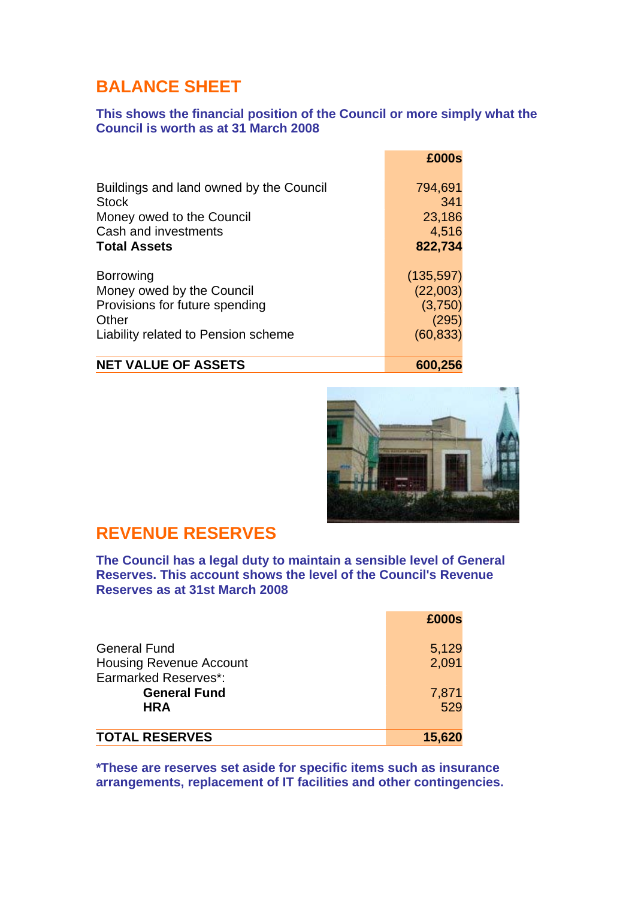# **BALANCE SHEET**

#### **This shows the financial position of the Council or more simply what the Council is worth as at 31 March 2008**

| £000s      |
|------------|
| 794,691    |
| 341        |
| 23,186     |
| 4,516      |
| 822,734    |
| (135, 597) |
| (22,003)   |
| (3,750)    |
| (295)      |
| (60, 833)  |
|            |

#### **NET VALUE OF ASSETS** 600,256



### **REVENUE RESERVES**

**The Council has a legal duty to maintain a sensible level of General Reserves. This account shows the level of the Council's Revenue Reserves as at 31st March 2008**

|                                | £000s  |
|--------------------------------|--------|
| <b>General Fund</b>            | 5,129  |
| <b>Housing Revenue Account</b> | 2,091  |
| <b>Earmarked Reserves*:</b>    |        |
| <b>General Fund</b>            | 7,871  |
| <b>HRA</b>                     | 529    |
| <b>TOTAL RESERVES</b>          | 15,620 |

**\*These are reserves set aside for specific items such as insurance arrangements, replacement of IT facilities and other contingencies.**